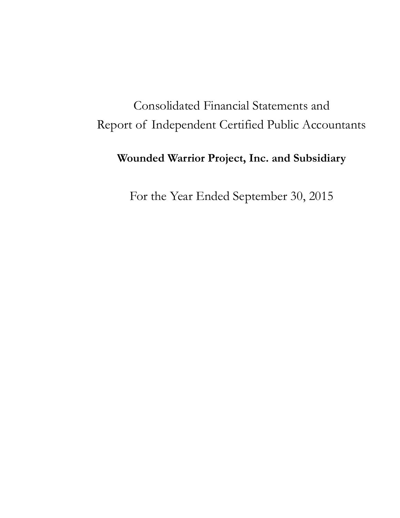## Consolidated Financial Statements and Report of Independent Certified Public Accountants

### **Wounded Warrior Project, Inc. and Subsidiary**

For the Year Ended September 30, 2015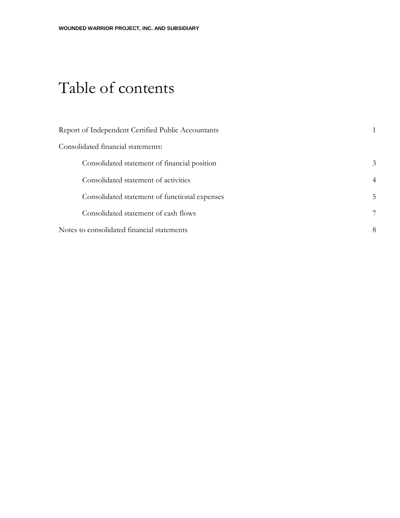## Table of contents

| Report of Independent Certified Public Accountants |                |
|----------------------------------------------------|----------------|
| Consolidated financial statements:                 |                |
| Consolidated statement of financial position       | 3              |
| Consolidated statement of activities               | $\overline{4}$ |
| Consolidated statement of functional expenses      | 5              |
| Consolidated statement of cash flows               | 7              |
| Notes to consolidated financial statements         | 8              |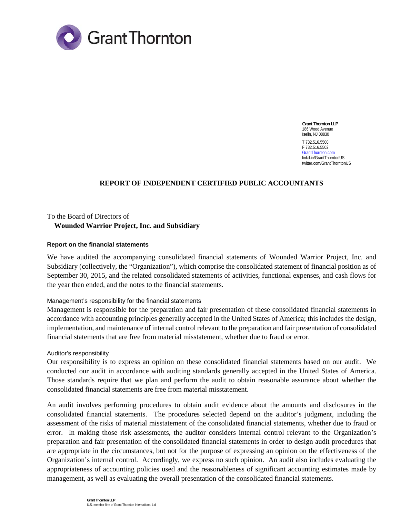

**Grant Thornton LLP**  186 Wood Avenue Iselin, NJ 08830 T 732.516.5500 F 732.516.5502 GrantThornton.com linkd.in/GrantThorntonUS twitter.com/GrantThorntonUS

#### **REPORT OF INDEPENDENT CERTIFIED PUBLIC ACCOUNTANTS**

To the Board of Directors of  **Wounded Warrior Project, Inc. and Subsidiary**

#### **Report on the financial statements**

We have audited the accompanying consolidated financial statements of Wounded Warrior Project, Inc. and Subsidiary (collectively, the "Organization"), which comprise the consolidated statement of financial position as of September 30, 2015, and the related consolidated statements of activities, functional expenses, and cash flows for the year then ended, and the notes to the financial statements.

#### Management's responsibility for the financial statements

Management is responsible for the preparation and fair presentation of these consolidated financial statements in accordance with accounting principles generally accepted in the United States of America; this includes the design, implementation, and maintenance of internal control relevant to the preparation and fair presentation of consolidated financial statements that are free from material misstatement, whether due to fraud or error.

#### Auditor's responsibility

Our responsibility is to express an opinion on these consolidated financial statements based on our audit. We conducted our audit in accordance with auditing standards generally accepted in the United States of America. Those standards require that we plan and perform the audit to obtain reasonable assurance about whether the consolidated financial statements are free from material misstatement.

An audit involves performing procedures to obtain audit evidence about the amounts and disclosures in the consolidated financial statements. The procedures selected depend on the auditor's judgment, including the assessment of the risks of material misstatement of the consolidated financial statements, whether due to fraud or error. In making those risk assessments, the auditor considers internal control relevant to the Organization's preparation and fair presentation of the consolidated financial statements in order to design audit procedures that are appropriate in the circumstances, but not for the purpose of expressing an opinion on the effectiveness of the Organization's internal control. Accordingly, we express no such opinion. An audit also includes evaluating the appropriateness of accounting policies used and the reasonableness of significant accounting estimates made by management, as well as evaluating the overall presentation of the consolidated financial statements.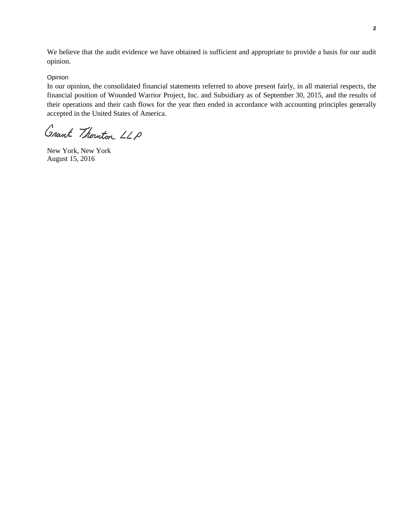We believe that the audit evidence we have obtained is sufficient and appropriate to provide a basis for our audit opinion.

#### Opinion

In our opinion, the consolidated financial statements referred to above present fairly, in all material respects, the financial position of Wounded Warrior Project, Inc. and Subsidiary as of September 30, 2015, and the results of their operations and their cash flows for the year then ended in accordance with accounting principles generally accepted in the United States of America.

Grant Thomton LLP

New York, New York August 15, 2016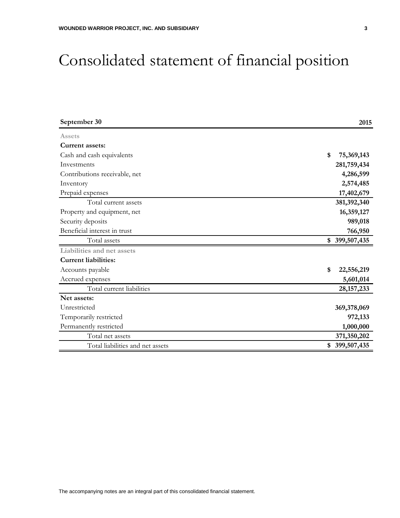## Consolidated statement of financial position

| September 30                     | 2015             |
|----------------------------------|------------------|
| Assets                           |                  |
| Current assets:                  |                  |
| Cash and cash equivalents        | \$<br>75,369,143 |
| Investments                      | 281,759,434      |
| Contributions receivable, net    | 4,286,599        |
| Inventory                        | 2,574,485        |
| Prepaid expenses                 | 17,402,679       |
| Total current assets             | 381,392,340      |
| Property and equipment, net      | 16,359,127       |
| Security deposits                | 989,018          |
| Beneficial interest in trust     | 766,950          |
| Total assets                     | \$399,507,435    |
| Liabilities and net assets       |                  |
| <b>Current liabilities:</b>      |                  |
| Accounts payable                 | 22,556,219<br>\$ |
| Accrued expenses                 | 5,601,014        |
| Total current liabilities        | 28, 157, 233     |
| Net assets:                      |                  |
| Unrestricted                     | 369,378,069      |
| Temporarily restricted           | 972,133          |
| Permanently restricted           | 1,000,000        |
| Total net assets                 | 371,350,202      |
| Total liabilities and net assets | \$399,507,435    |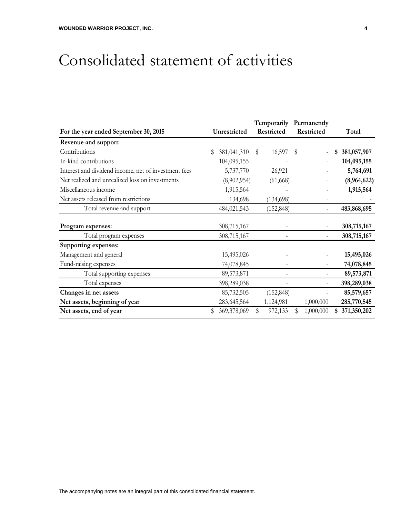## Consolidated statement of activities

|                                                      |                   | Temporarily  | Permanently     |                   |
|------------------------------------------------------|-------------------|--------------|-----------------|-------------------|
| For the year ended September 30, 2015                | Unrestricted      | Restricted   | Restricted      | Total             |
| Revenue and support:                                 |                   |              |                 |                   |
| Contributions                                        | 381,041,310<br>S  | 16,597<br>S  | $\mathbb S$     | 381,057,907<br>\$ |
| In-kind contributions                                | 104,095,155       |              |                 | 104,095,155       |
| Interest and dividend income, net of investment fees | 5,737,770         | 26,921       |                 | 5,764,691         |
| Net realized and unrealized loss on investments      | (8,902,954)       | (61, 668)    | -               | (8,964,622)       |
| Miscellaneous income                                 | 1,915,564         |              |                 | 1,915,564         |
| Net assets released from restrictions                | 134,698           | (134, 698)   |                 |                   |
| Total revenue and support                            | 484,021,543       | (152, 848)   |                 | 483,868,695       |
| Program expenses:                                    | 308,715,167       |              |                 | 308,715,167       |
| Total program expenses                               | 308,715,167       |              |                 | 308,715,167       |
| <b>Supporting expenses:</b>                          |                   |              |                 |                   |
| Management and general                               | 15,495,026        |              | -               | 15,495,026        |
| Fund-raising expenses                                | 74,078,845        |              |                 | 74,078,845        |
| Total supporting expenses                            | 89,573,871        |              |                 | 89,573,871        |
| Total expenses                                       | 398,289,038       |              |                 | 398,289,038       |
| Changes in net assets                                | 85,732,505        | (152, 848)   |                 | 85,579,657        |
| Net assets, beginning of year                        | 283, 645, 564     | 1,124,981    | 1,000,000       | 285,770,545       |
| Net assets, end of year                              | 369,378,069<br>\$ | S<br>972,133 | \$<br>1,000,000 | 371,350,202<br>S  |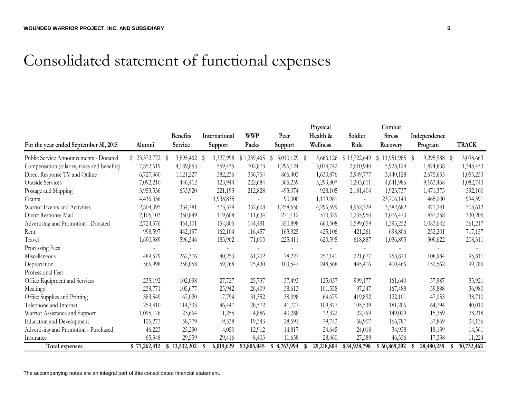## Consolidated statement of functional expenses

|                                             |              | <b>Benefits</b>   | International   | <b>WWP</b>  | Peer           | Physical<br>Health & | Soldier      | Combat<br><b>Stress</b> | Independence |                  |
|---------------------------------------------|--------------|-------------------|-----------------|-------------|----------------|----------------------|--------------|-------------------------|--------------|------------------|
| For the year ended September 30, 2015       | Alumni       | Service           | Support         | Packs       | Support        | Wellness             | Ride         | Recovery                | Program      | <b>TRACK</b>     |
| Public Service Announcements - Donated      | \$23,372,772 | 3,895,462 \$<br>S | 1,327,998       | \$1,239,465 | 3,010,129<br>S | 5,666,126<br>- S     | \$13,722,649 | $$11,951,985$ \$        | 9,295,988 \$ | 3,098,663        |
| Compensation (salaries, taxes and benefits) | 7,852,619    | 4,189,853         | 559,435         | 702,873     | 1,296,124      | 3,014,742            | 2,610,940    | 5,928,124               | 1,874,838    | 1,348,453        |
| Direct Response TV and Online               | 6,727,360    | 1,121,227         | 382,236         | 356,754     | 866,403        | 1,630,876            | 3,949,777    | 3,440,128               | 2,675,655    | 1,055,253        |
| Outside Services                            | 7,092,210    | 446,412           | 123,944         | 222,684     | 305,259        | 5,293,807            | 1,203,611    | 4,641,986               | 9,163,468    | 1,082,743        |
| Postage and Shipping                        | 3,953,536    | 653,920           | 221,193         | 212,828     | 493,074        | 928,105              | 2,181,404    | 1,923,737               | 1,471,373    | 592,100          |
| Grants                                      | 4,436,336    |                   | 1,938,835       |             | 90,000         | 1,119,981            |              | 23,706,143              | 465,000      | 994,391          |
| Warrior Events and Activities               | 12,804,395   | 334,781           | 573,379         | 332,608     | 1,258,550      | 4,296,599            | 4,952,329    | 3,382,682               | 471,241      | 508,612          |
| Direct Response Mail                        | 2,105,103    | 350,849           | 119,608         | 111,634     | 271,112        | 510,329              | 1,235,950    | 1,076,473               | 837,258      | 330,205          |
| Advertising and Promotion - Donated         | 2,724,576    | 454,101           | 154,805         | 144,491     | 350,898        | 660,508              | 1,599,659    | 1,393,252               | 1,083,642    | 361,217          |
| Rent                                        | 998,597      | 442,197           | 162,104         | 116,457     | 163,925        | 425,106              | 421,261      | 698,806                 | 252,201      | 717,157          |
| Travel                                      | 1,690,389    | 596,546           | 183,902         | 71,005      | 225,411        | 620,595              | 618,887      | 1,036,895               | 309,622      | 208,311          |
| Processing Fees                             |              |                   |                 |             |                |                      |              |                         |              |                  |
| Miscellaneous                               | 489,579      | 262,376           | 40,253          | 61,202      | 78,227         | 257,141              | 221,677      | 258,870                 | 108,984      | 95,811           |
| Depreciation                                | 566,998      | 258,058           | 59,768          | 75,430      | 103,547        | 248,568              | 445,416      | 400,466                 | 152,562      | 99,786           |
| Professional Fees                           |              |                   |                 |             |                |                      |              |                         |              |                  |
| Office Equipment and Services               | 233,192      | 102,098           | 27,727          | 25,737      | 37,493         | 125,037              | 999,177      | 161,640                 | 57,987       | 35,921           |
| Meetings                                    | 239,771      | 105,677           | 25,942          | 26,409      | 38,613         | 101,558              | 97,547       | 167,488                 | 59,888       | 36,980           |
| Office Supplies and Printing                | 383,549      | 67,020            | 17,794          | 31,352      | 38,098         | 64,679               | 419,892      | 122,101                 | 47,053       | 38,710           |
| Telephone and Internet                      | 259,410      | 114,333           | 46,447          | 28,572      | 41,777         | 109,877              | 105,539      | 181,206                 | 64,794       | 40,010           |
| Warrior Assistance and Support              | 1,095,176    | 23,664            | 11,255          | 4,886       | 40,288         | 12,322               | 22,769       | 149,029                 | 15,359       | 28,218           |
| Education and Development                   | 125,273      | 58,779            | 9,538           | 19,343      | 28,591         | 79,743               | 68,907       | 166,787                 | 37,869       | 34,136           |
| Advertising and Promotion - Purchased       | 46,223       | 25,290            | 4,050           | 12,912      | 14,817         | 24,645               | 24,018       | 34,938                  | 18,139       | 14,561           |
| Insurance                                   | 65,348       | 29,559            | 29,416          | 8,403       | 11,658         | 28,460               | 27,389       | 46,556                  | 17,338       | 11,224           |
| Total expenses                              | \$77,262,412 | \$13,532,202      | 6,019,629<br>S. | \$3,805,045 | \$8,763,994    | 25,218,804<br>- \$   | \$34,928,798 | \$60,869,292            | 28,480,259   | 10,732,462<br>S. |

The accompanying notes are an integral part of this consolidated financial statement.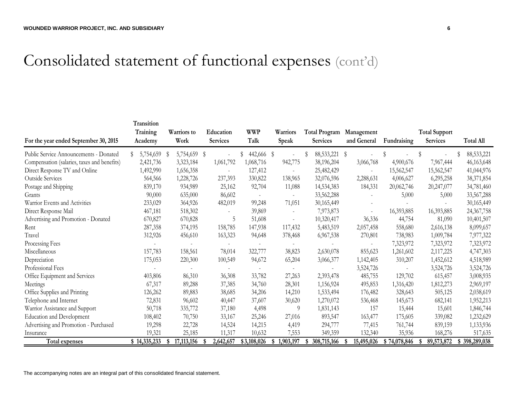# Consolidated statement of functional expenses (cont'd)

|                                             | Transition          |                     |                              | <b>WWP</b>  |                          |                                         |                           |              |                                         |                  |
|---------------------------------------------|---------------------|---------------------|------------------------------|-------------|--------------------------|-----------------------------------------|---------------------------|--------------|-----------------------------------------|------------------|
| For the year ended September 30, 2015       | Training<br>Academy | Warriors to<br>Work | Education<br><b>Services</b> | Talk        | Warriors<br>Speak        | <b>Total Program</b><br><b>Services</b> | Management<br>and General | Fundraising  | <b>Total Support</b><br><b>Services</b> | <b>Total All</b> |
| Public Service Announcements - Donated      | 5,754,659           | 5,754,659 \$<br>S   |                              | 442,666 \$  |                          | 88, 533, 221                            | -S                        |              |                                         | 88,533,221       |
| Compensation (salaries, taxes and benefits) | 2,421,736           | 3,323,184           | 1,061,792                    | 1,068,716   | 942,775                  | 38,196,204                              | 3,066,768                 | 4,900,676    | 7,967,444                               | 46,163,648       |
| Direct Response TV and Online               | 1,492,990           | 1,656,358           |                              | 127,412     | $\sim$                   | 25,482,429                              |                           | 15,562,547   | 15,562,547                              | 41,044,976       |
| <b>Outside Services</b>                     | 564,566             | 1,228,726           | 237,393                      | 330,822     | 138,965                  | 32,076,596                              | 2,288,631                 | 4,006,627    | 6,295,258                               | 38,371,854       |
| Postage and Shipping                        | 839,170             | 934,989             | 25,162                       | 92,704      | 11,088                   | 14,534,383                              | 184,331                   | 20,062,746   | 20,247,077                              | 34,781,460       |
| Grants                                      | 90,000              | 635,000             | 86,602                       |             | $\overline{\phantom{a}}$ | 33,562,288                              |                           | 5,000        | 5,000                                   | 33,567,288       |
| Warrior Events and Activities               | 233,029             | 364,926             | 482,019                      | 99,248      | 71,051                   | 30,165,449                              |                           |              |                                         | 30,165,449       |
| Direct Response Mail                        | 467,181             | 518,302             |                              | 39,869      | $\overline{\phantom{a}}$ | 7,973,873                               |                           | 16,393,885   | 16,393,885                              | 24,367,758       |
| Advertising and Promotion - Donated         | 670,827             | 670,828             | 5                            | 51,608      |                          | 10,320,417                              | 36,336                    | 44,754       | 81,090                                  | 10,401,507       |
| Rent                                        | 287,358             | 374,195             | 158,785                      | 147,938     | 117,432                  | 5,483,519                               | 2,057,458                 | 558,680      | 2,616,138                               | 8,099,657        |
| Travel                                      | 312,926             | 456,610             | 163,323                      | 94,648      | 378,468                  | 6,967,538                               | 270,801                   | 738,983      | 1,009,784                               | 7,977,322        |
| Processing Fees                             |                     |                     |                              |             | $\sim$                   |                                         |                           | 7,323,972    | 7,323,972                               | 7,323,972        |
| Miscellaneous                               | 157,783             | 158,561             | 78,014                       | 322,777     | 38,823                   | 2,630,078                               | 855,623                   | 1,261,602    | 2,117,225                               | 4,747,303        |
| Depreciation                                | 175,053             | 220,300             | 100,549                      | 94,672      | 65,204                   | 3,066,377                               | 1,142,405                 | 310,207      | 1,452,612                               | 4,518,989        |
| Professional Fees                           |                     |                     |                              |             |                          |                                         | 3,524,726                 |              | 3,524,726                               | 3,524,726        |
| Office Equipment and Services               | 403,806             | 86,310              | 36,308                       | 33,782      | 27,263                   | 2,393,478                               | 485,755                   | 129,702      | 615,457                                 | 3,008,935        |
| Meetings                                    | 67,317              | 89,288              | 37,385                       | 34,760      | 28,301                   | 1,156,924                               | 495,853                   | 1,316,420    | 1,812,273                               | 2,969,197        |
| Office Supplies and Printing                | 126,262             | 89,883              | 38,685                       | 34,206      | 14,210                   | 1,533,494                               | 176,482                   | 328,643      | 505,125                                 | 2,038,619        |
| Telephone and Internet                      | 72,831              | 96,602              | 40,447                       | 37,607      | 30,620                   | 1,270,072                               | 536,468                   | 145,673      | 682,141                                 | 1,952,213        |
| Warnor Assistance and Support               | 50,718              | 335,772             | 37,180                       | 4,498       | 9                        | 1,831,143                               | 157                       | 15,444       | 15,601                                  | 1,846,744        |
| <b>Education and Development</b>            | 108,402             | 70,750              | 33,167                       | 25,246      | 27,016                   | 893,547                                 | 163,477                   | 175,605      | 339,082                                 | 1,232,629        |
| Advertising and Promotion - Purchased       | 19,298              | 22,728              | 14,524                       | 14,215      | 4,419                    | 294,777                                 | 77,415                    | 761,744      | 839,159                                 | 1,133,936        |
| Insurance                                   | 19,321              | 25,185              | 11,317                       | 10,632      | 7,553                    | 349,359                                 | 132,340                   | 35,936       | 168,276                                 | 517,635          |
| Total expenses                              | \$14,335,233        | 17, 113, 156<br>\$  | 2,642,657                    | \$3,108,026 | 1,903,197<br>\$          | \$308,715,166                           | 15,495,026<br>-\$         | \$74,078,846 | 89,573,872<br>S                         | \$398,289,038    |

The accompanying notes are an integral part of this consolidated financial statement.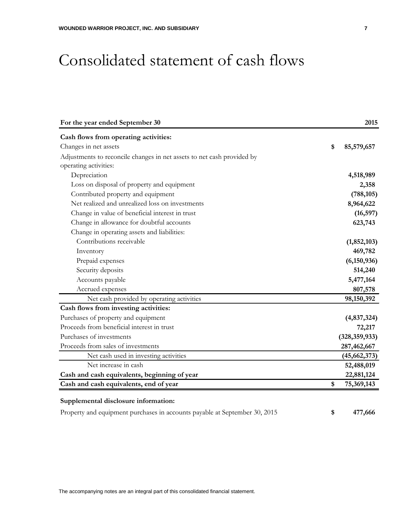### Consolidated statement of cash flows

| For the year ended September 30                                        | 2015             |
|------------------------------------------------------------------------|------------------|
| Cash flows from operating activities:                                  |                  |
| Changes in net assets                                                  | \$<br>85,579,657 |
| Adjustments to reconcile changes in net assets to net cash provided by |                  |
| operating activities:                                                  |                  |
| Depreciation                                                           | 4,518,989        |
| Loss on disposal of property and equipment                             | 2,358            |
| Contributed property and equipment                                     | (788, 105)       |
| Net realized and unrealized loss on investments                        | 8,964,622        |
| Change in value of beneficial interest in trust                        | (16, 597)        |
| Change in allowance for doubtful accounts                              | 623,743          |
| Change in operating assets and liabilities:                            |                  |
| Contributions receivable                                               | (1,852,103)      |
| Inventory                                                              | 469,782          |
| Prepaid expenses                                                       | (6, 150, 936)    |
| Security deposits                                                      | 514,240          |
| Accounts payable                                                       | 5,477,164        |
| Accrued expenses                                                       | 807,578          |
| Net cash provided by operating activities                              | 98,150,392       |
| Cash flows from investing activities:                                  |                  |
| Purchases of property and equipment                                    | (4,837,324)      |
| Proceeds from beneficial interest in trust                             | 72,217           |
| Purchases of investments                                               | (328, 359, 933)  |
| Proceeds from sales of investments                                     | 287,462,667      |
| Net cash used in investing activities                                  | (45, 662, 373)   |
| Net increase in cash                                                   | 52,488,019       |
| Cash and cash equivalents, beginning of year                           | 22,881,124       |
| Cash and cash equivalents, end of year                                 | \$<br>75,369,143 |

#### **Supplemental disclosure information:**

Property and equipment purchases in accounts payable at September 30, 2015 **\$ 477,666**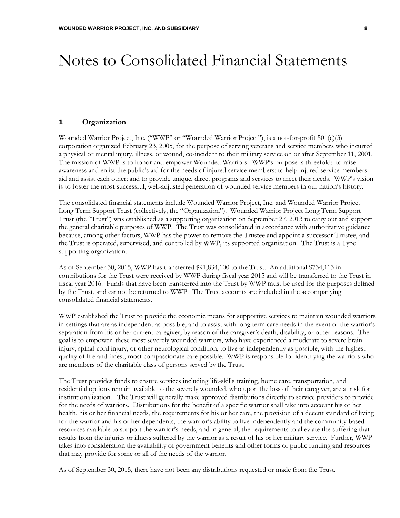#### 1 **Organization**

Wounded Warrior Project, Inc. ("WWP" or "Wounded Warrior Project"), is a not-for-profit 501(c)(3) corporation organized February 23, 2005, for the purpose of serving veterans and service members who incurred a physical or mental injury, illness, or wound, co-incident to their military service on or after September 11, 2001. The mission of WWP is to honor and empower Wounded Warriors. WWP's purpose is threefold: to raise awareness and enlist the public's aid for the needs of injured service members; to help injured service members aid and assist each other; and to provide unique, direct programs and services to meet their needs. WWP's vision is to foster the most successful, well-adjusted generation of wounded service members in our nation's history.

The consolidated financial statements include Wounded Warrior Project, Inc. and Wounded Warrior Project Long Term Support Trust (collectively, the "Organization"). Wounded Warrior Project Long Term Support Trust (the "Trust") was established as a supporting organization on September 27, 2013 to carry out and support the general charitable purposes of WWP. The Trust was consolidated in accordance with authoritative guidance because, among other factors, WWP has the power to remove the Trustee and appoint a successor Trustee, and the Trust is operated, supervised, and controlled by WWP, its supported organization. The Trust is a Type I supporting organization.

As of September 30, 2015, WWP has transferred \$91,834,100 to the Trust. An additional \$734,113 in contributions for the Trust were received by WWP during fiscal year 2015 and will be transferred to the Trust in fiscal year 2016. Funds that have been transferred into the Trust by WWP must be used for the purposes defined by the Trust, and cannot be returned to WWP. The Trust accounts are included in the accompanying consolidated financial statements.

WWP established the Trust to provide the economic means for supportive services to maintain wounded warriors in settings that are as independent as possible, and to assist with long term care needs in the event of the warrior's separation from his or her current caregiver, by reason of the caregiver's death, disability, or other reasons. The goal is to empower these most severely wounded warriors, who have experienced a moderate to severe brain injury, spinal-cord injury, or other neurological condition, to live as independently as possible, with the highest quality of life and finest, most compassionate care possible. WWP is responsible for identifying the warriors who are members of the charitable class of persons served by the Trust.

The Trust provides funds to ensure services including life-skills training, home care, transportation, and residential options remain available to the severely wounded, who upon the loss of their caregiver, are at risk for institutionalization. The Trust will generally make approved distributions directly to service providers to provide for the needs of warriors. Distributions for the benefit of a specific warrior shall take into account his or her health, his or her financial needs, the requirements for his or her care, the provision of a decent standard of living for the warrior and his or her dependents, the warrior's ability to live independently and the community-based resources available to support the warrior's needs, and in general, the requirements to alleviate the suffering that results from the injuries or illness suffered by the warrior as a result of his or her military service. Further, WWP takes into consideration the availability of government benefits and other forms of public funding and resources that may provide for some or all of the needs of the warrior.

As of September 30, 2015, there have not been any distributions requested or made from the Trust.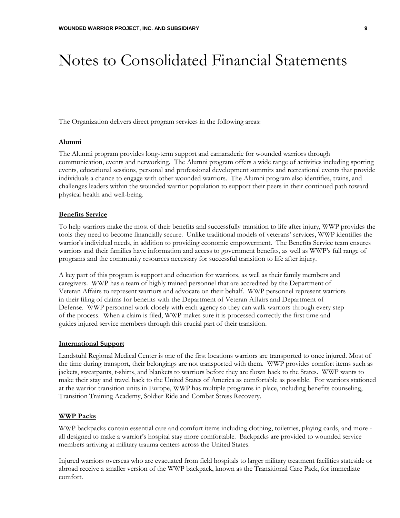The Organization delivers direct program services in the following areas:

#### **Alumni**

The Alumni program provides long-term support and camaraderie for wounded warriors through communication, events and networking. The Alumni program offers a wide range of activities including sporting events, educational sessions, personal and professional development summits and recreational events that provide individuals a chance to engage with other wounded warriors. The Alumni program also identifies, trains, and challenges leaders within the wounded warrior population to support their peers in their continued path toward physical health and well-being.

#### **Benefits Service**

To help warriors make the most of their benefits and successfully transition to life after injury, WWP provides the tools they need to become financially secure. Unlike traditional models of veterans' services, WWP identifies the warrior's individual needs, in addition to providing economic empowerment. The Benefits Service team ensures warriors and their families have information and access to government benefits, as well as WWP's full range of programs and the community resources necessary for successful transition to life after injury.

A key part of this program is support and education for warriors, as well as their family members and caregivers. WWP has a team of highly trained personnel that are accredited by the Department of Veteran Affairs to represent warriors and advocate on their behalf. WWP personnel represent warriors in their filing of claims for benefits with the Department of Veteran Affairs and Department of Defense. WWP personnel work closely with each agency so they can walk warriors through every step of the process. When a claim is filed, WWP makes sure it is processed correctly the first time and guides injured service members through this crucial part of their transition.

#### **International Support**

Landstuhl Regional Medical Center is one of the first locations warriors are transported to once injured. Most of the time during transport, their belongings are not transported with them. WWP provides comfort items such as jackets, sweatpants, t-shirts, and blankets to warriors before they are flown back to the States. WWP wants to make their stay and travel back to the United States of America as comfortable as possible. For warriors stationed at the warrior transition units in Europe, WWP has multiple programs in place, including benefits counseling, Transition Training Academy, Soldier Ride and Combat Stress Recovery.

#### **WWP Packs**

WWP backpacks contain essential care and comfort items including clothing, toiletries, playing cards, and more all designed to make a warrior's hospital stay more comfortable. Backpacks are provided to wounded service members arriving at military trauma centers across the United States.

Injured warriors overseas who are evacuated from field hospitals to larger military treatment facilities stateside or abroad receive a smaller version of the WWP backpack, known as the Transitional Care Pack, for immediate comfort.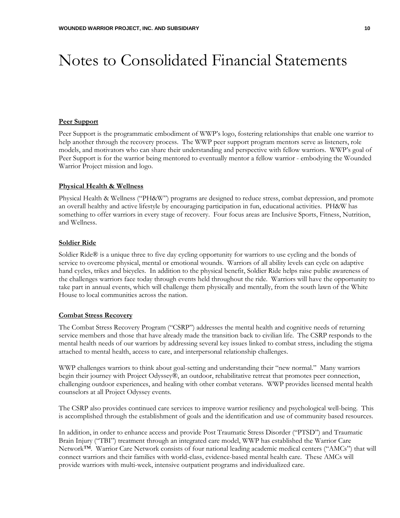#### **Peer Support**

Peer Support is the programmatic embodiment of WWP's logo, fostering relationships that enable one warrior to help another through the recovery process. The WWP peer support program mentors serve as listeners, role models, and motivators who can share their understanding and perspective with fellow warriors. WWP's goal of Peer Support is for the warrior being mentored to eventually mentor a fellow warrior - embodying the Wounded Warrior Project mission and logo.

#### **Physical Health & Wellness**

Physical Health & Wellness ("PH&W") programs are designed to reduce stress, combat depression, and promote an overall healthy and active lifestyle by encouraging participation in fun, educational activities. PH&W has something to offer warriors in every stage of recovery. Four focus areas are Inclusive Sports, Fitness, Nutrition, and Wellness.

#### **Soldier Ride**

Soldier Ride® is a unique three to five day cycling opportunity for warriors to use cycling and the bonds of service to overcome physical, mental or emotional wounds. Warriors of all ability levels can cycle on adaptive hand cycles, trikes and bicycles. In addition to the physical benefit, Soldier Ride helps raise public awareness of the challenges warriors face today through events held throughout the ride. Warriors will have the opportunity to take part in annual events, which will challenge them physically and mentally, from the south lawn of the White House to local communities across the nation.

#### **Combat Stress Recovery**

The Combat Stress Recovery Program ("CSRP") addresses the mental health and cognitive needs of returning service members and those that have already made the transition back to civilian life. The CSRP responds to the mental health needs of our warriors by addressing several key issues linked to combat stress, including the stigma attached to mental health, access to care, and interpersonal relationship challenges.

WWP challenges warriors to think about goal-setting and understanding their "new normal." Many warriors begin their journey with Project Odyssey®, an outdoor, rehabilitative retreat that promotes peer connection, challenging outdoor experiences, and healing with other combat veterans. WWP provides licensed mental health counselors at all Project Odyssey events.

The CSRP also provides continued care services to improve warrior resiliency and psychological well-being. This is accomplished through the establishment of goals and the identification and use of community based resources.

In addition, in order to enhance access and provide Post Traumatic Stress Disorder ("PTSD") and Traumatic Brain Injury ("TBI") treatment through an integrated care model, WWP has established the Warrior Care Network™. Warrior Care Network consists of four national leading academic medical centers ("AMCs") that will connect warriors and their families with world-class, evidence-based mental health care. These AMCs will provide warriors with multi-week, intensive outpatient programs and individualized care.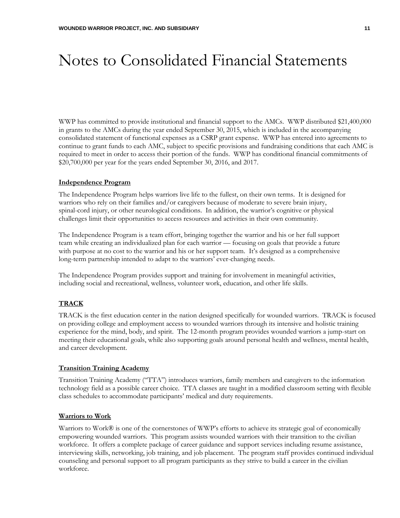WWP has committed to provide institutional and financial support to the AMCs. WWP distributed \$21,400,000 in grants to the AMCs during the year ended September 30, 2015, which is included in the accompanying consolidated statement of functional expenses as a CSRP grant expense. WWP has entered into agreements to continue to grant funds to each AMC, subject to specific provisions and fundraising conditions that each AMC is required to meet in order to access their portion of the funds. WWP has conditional financial commitments of \$20,700,000 per year for the years ended September 30, 2016, and 2017.

#### **Independence Program**

The Independence Program helps warriors live life to the fullest, on their own terms. It is designed for warriors who rely on their families and/or caregivers because of moderate to severe brain injury, spinal-cord injury, or other neurological conditions. In addition, the warrior's cognitive or physical challenges limit their opportunities to access resources and activities in their own community.

The Independence Program is a team effort, bringing together the warrior and his or her full support team while creating an individualized plan for each warrior — focusing on goals that provide a future with purpose at no cost to the warrior and his or her support team. It's designed as a comprehensive long-term partnership intended to adapt to the warriors' ever-changing needs.

The Independence Program provides support and training for involvement in meaningful activities, including social and recreational, wellness, volunteer work, education, and other life skills.

#### **TRACK**

TRACK is the first education center in the nation designed specifically for wounded warriors. TRACK is focused on providing college and employment access to wounded warriors through its intensive and holistic training experience for the mind, body, and spirit. The 12-month program provides wounded warriors a jump-start on meeting their educational goals, while also supporting goals around personal health and wellness, mental health, and career development.

#### **Transition Training Academy**

Transition Training Academy ("TTA") introduces warriors, family members and caregivers to the information technology field as a possible career choice. TTA classes are taught in a modified classroom setting with flexible class schedules to accommodate participants' medical and duty requirements.

#### **Warriors to Work**

Warriors to Work® is one of the cornerstones of WWP's efforts to achieve its strategic goal of economically empowering wounded warriors. This program assists wounded warriors with their transition to the civilian workforce. It offers a complete package of career guidance and support services including resume assistance, interviewing skills, networking, job training, and job placement. The program staff provides continued individual counseling and personal support to all program participants as they strive to build a career in the civilian workforce.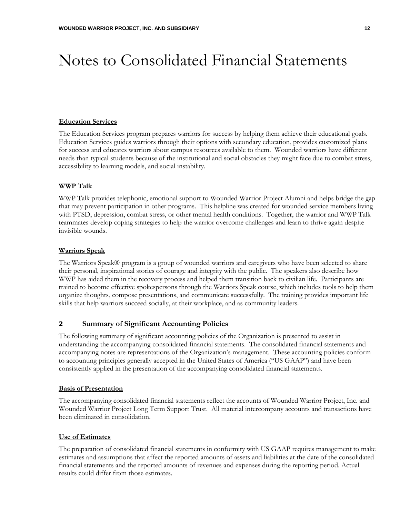#### **Education Services**

The Education Services program prepares warriors for success by helping them achieve their educational goals. Education Services guides warriors through their options with secondary education, provides customized plans for success and educates warriors about campus resources available to them. Wounded warriors have different needs than typical students because of the institutional and social obstacles they might face due to combat stress, accessibility to learning models, and social instability.

#### **WWP Talk**

WWP Talk provides telephonic, emotional support to Wounded Warrior Project Alumni and helps bridge the gap that may prevent participation in other programs. This helpline was created for wounded service members living with PTSD, depression, combat stress, or other mental health conditions. Together, the warrior and WWP Talk teammates develop coping strategies to help the warrior overcome challenges and learn to thrive again despite invisible wounds.

#### **Warriors Speak**

The Warriors Speak® program is a group of wounded warriors and caregivers who have been selected to share their personal, inspirational stories of courage and integrity with the public. The speakers also describe how WWP has aided them in the recovery process and helped them transition back to civilian life. Participants are trained to become effective spokespersons through the Warriors Speak course, which includes tools to help them organize thoughts, compose presentations, and communicate successfully. The training provides important life skills that help warriors succeed socially, at their workplace, and as community leaders.

#### 2 **Summary of Significant Accounting Policies**

The following summary of significant accounting policies of the Organization is presented to assist in understanding the accompanying consolidated financial statements. The consolidated financial statements and accompanying notes are representations of the Organization's management. These accounting policies conform to accounting principles generally accepted in the United States of America ("US GAAP") and have been consistently applied in the presentation of the accompanying consolidated financial statements.

#### **Basis of Presentation**

The accompanying consolidated financial statements reflect the accounts of Wounded Warrior Project, Inc. and Wounded Warrior Project Long Term Support Trust. All material intercompany accounts and transactions have been eliminated in consolidation.

#### **Use of Estimates**

The preparation of consolidated financial statements in conformity with US GAAP requires management to make estimates and assumptions that affect the reported amounts of assets and liabilities at the date of the consolidated financial statements and the reported amounts of revenues and expenses during the reporting period. Actual results could differ from those estimates.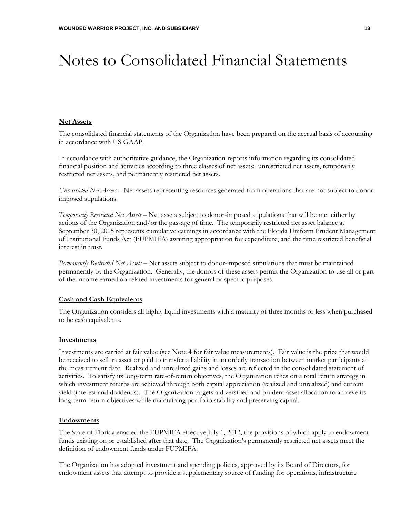#### **Net Assets**

The consolidated financial statements of the Organization have been prepared on the accrual basis of accounting in accordance with US GAAP.

In accordance with authoritative guidance, the Organization reports information regarding its consolidated financial position and activities according to three classes of net assets: unrestricted net assets, temporarily restricted net assets, and permanently restricted net assets.

*Unrestricted Net Assets* – Net assets representing resources generated from operations that are not subject to donorimposed stipulations.

*Temporarily Restricted Net Assets* – Net assets subject to donor-imposed stipulations that will be met either by actions of the Organization and/or the passage of time. The temporarily restricted net asset balance at September 30, 2015 represents cumulative earnings in accordance with the Florida Uniform Prudent Management of Institutional Funds Act (FUPMIFA) awaiting appropriation for expenditure, and the time restricted beneficial interest in trust.

*Permanently Restricted Net Assets* – Net assets subject to donor-imposed stipulations that must be maintained permanently by the Organization. Generally, the donors of these assets permit the Organization to use all or part of the income earned on related investments for general or specific purposes.

#### **Cash and Cash Equivalents**

The Organization considers all highly liquid investments with a maturity of three months or less when purchased to be cash equivalents.

#### **Investments**

Investments are carried at fair value (see Note 4 for fair value measurements). Fair value is the price that would be received to sell an asset or paid to transfer a liability in an orderly transaction between market participants at the measurement date. Realized and unrealized gains and losses are reflected in the consolidated statement of activities. To satisfy its long-term rate-of-return objectives, the Organization relies on a total return strategy in which investment returns are achieved through both capital appreciation (realized and unrealized) and current yield (interest and dividends). The Organization targets a diversified and prudent asset allocation to achieve its long-term return objectives while maintaining portfolio stability and preserving capital.

#### **Endowments**

The State of Florida enacted the FUPMIFA effective July 1, 2012, the provisions of which apply to endowment funds existing on or established after that date. The Organization's permanently restricted net assets meet the definition of endowment funds under FUPMIFA.

The Organization has adopted investment and spending policies, approved by its Board of Directors, for endowment assets that attempt to provide a supplementary source of funding for operations, infrastructure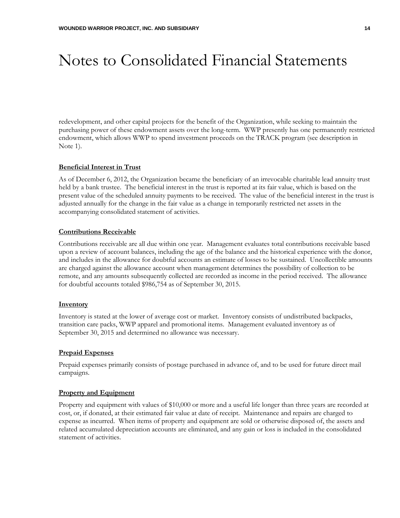redevelopment, and other capital projects for the benefit of the Organization, while seeking to maintain the purchasing power of these endowment assets over the long-term. WWP presently has one permanently restricted endowment, which allows WWP to spend investment proceeds on the TRACK program (see description in Note 1).

#### **Beneficial Interest in Trust**

As of December 6, 2012, the Organization became the beneficiary of an irrevocable charitable lead annuity trust held by a bank trustee. The beneficial interest in the trust is reported at its fair value, which is based on the present value of the scheduled annuity payments to be received. The value of the beneficial interest in the trust is adjusted annually for the change in the fair value as a change in temporarily restricted net assets in the accompanying consolidated statement of activities.

#### **Contributions Receivable**

Contributions receivable are all due within one year. Management evaluates total contributions receivable based upon a review of account balances, including the age of the balance and the historical experience with the donor, and includes in the allowance for doubtful accounts an estimate of losses to be sustained. Uncollectible amounts are charged against the allowance account when management determines the possibility of collection to be remote, and any amounts subsequently collected are recorded as income in the period received. The allowance for doubtful accounts totaled \$986,754 as of September 30, 2015.

#### **Inventory**

Inventory is stated at the lower of average cost or market. Inventory consists of undistributed backpacks, transition care packs, WWP apparel and promotional items. Management evaluated inventory as of September 30, 2015 and determined no allowance was necessary.

#### **Prepaid Expenses**

Prepaid expenses primarily consists of postage purchased in advance of, and to be used for future direct mail campaigns.

#### **Property and Equipment**

Property and equipment with values of \$10,000 or more and a useful life longer than three years are recorded at cost, or, if donated, at their estimated fair value at date of receipt. Maintenance and repairs are charged to expense as incurred. When items of property and equipment are sold or otherwise disposed of, the assets and related accumulated depreciation accounts are eliminated, and any gain or loss is included in the consolidated statement of activities.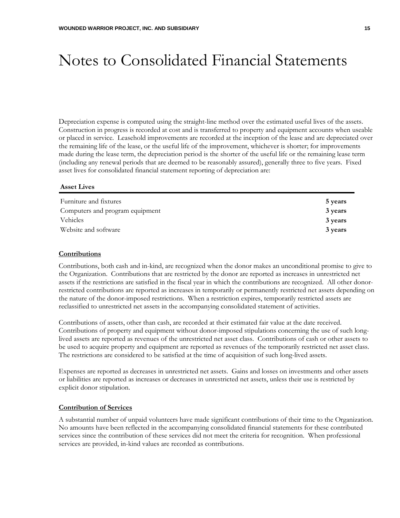Depreciation expense is computed using the straight-line method over the estimated useful lives of the assets. Construction in progress is recorded at cost and is transferred to property and equipment accounts when useable or placed in service. Leasehold improvements are recorded at the inception of the lease and are depreciated over the remaining life of the lease, or the useful life of the improvement, whichever is shorter; for improvements made during the lease term, the depreciation period is the shorter of the useful life or the remaining lease term (including any renewal periods that are deemed to be reasonably assured), generally three to five years. Fixed asset lives for consolidated financial statement reporting of depreciation are:

#### **Asset Lives**

| Furniture and fixtures          | 5 years |
|---------------------------------|---------|
| Computers and program equipment | 3 years |
| Vehicles                        | 3 years |
| Website and software            | 3 years |

#### **Contributions**

Contributions, both cash and in-kind, are recognized when the donor makes an unconditional promise to give to the Organization. Contributions that are restricted by the donor are reported as increases in unrestricted net assets if the restrictions are satisfied in the fiscal year in which the contributions are recognized. All other donorrestricted contributions are reported as increases in temporarily or permanently restricted net assets depending on the nature of the donor-imposed restrictions. When a restriction expires, temporarily restricted assets are reclassified to unrestricted net assets in the accompanying consolidated statement of activities.

Contributions of assets, other than cash, are recorded at their estimated fair value at the date received. Contributions of property and equipment without donor-imposed stipulations concerning the use of such longlived assets are reported as revenues of the unrestricted net asset class. Contributions of cash or other assets to be used to acquire property and equipment are reported as revenues of the temporarily restricted net asset class. The restrictions are considered to be satisfied at the time of acquisition of such long-lived assets.

Expenses are reported as decreases in unrestricted net assets. Gains and losses on investments and other assets or liabilities are reported as increases or decreases in unrestricted net assets, unless their use is restricted by explicit donor stipulation.

#### **Contribution of Services**

A substantial number of unpaid volunteers have made significant contributions of their time to the Organization. No amounts have been reflected in the accompanying consolidated financial statements for these contributed services since the contribution of these services did not meet the criteria for recognition. When professional services are provided, in-kind values are recorded as contributions.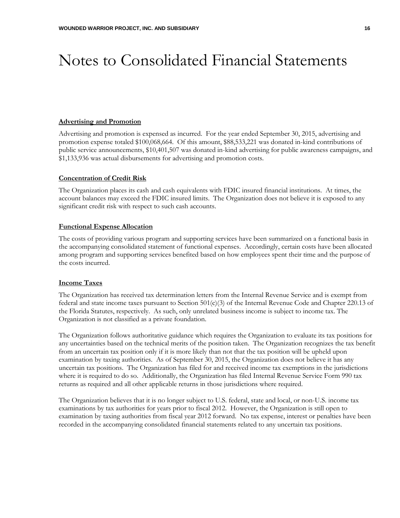#### **Advertising and Promotion**

Advertising and promotion is expensed as incurred. For the year ended September 30, 2015, advertising and promotion expense totaled \$100,068,664. Of this amount, \$88,533,221 was donated in-kind contributions of public service announcements, \$10,401,507 was donated in-kind advertising for public awareness campaigns, and \$1,133,936 was actual disbursements for advertising and promotion costs.

#### **Concentration of Credit Risk**

The Organization places its cash and cash equivalents with FDIC insured financial institutions. At times, the account balances may exceed the FDIC insured limits. The Organization does not believe it is exposed to any significant credit risk with respect to such cash accounts.

#### **Functional Expense Allocation**

The costs of providing various program and supporting services have been summarized on a functional basis in the accompanying consolidated statement of functional expenses. Accordingly, certain costs have been allocated among program and supporting services benefited based on how employees spent their time and the purpose of the costs incurred.

#### **Income Taxes**

The Organization has received tax determination letters from the Internal Revenue Service and is exempt from federal and state income taxes pursuant to Section 501(c)(3) of the Internal Revenue Code and Chapter 220.13 of the Florida Statutes, respectively. As such, only unrelated business income is subject to income tax. The Organization is not classified as a private foundation.

The Organization follows authoritative guidance which requires the Organization to evaluate its tax positions for any uncertainties based on the technical merits of the position taken. The Organization recognizes the tax benefit from an uncertain tax position only if it is more likely than not that the tax position will be upheld upon examination by taxing authorities. As of September 30, 2015, the Organization does not believe it has any uncertain tax positions. The Organization has filed for and received income tax exemptions in the jurisdictions where it is required to do so. Additionally, the Organization has filed Internal Revenue Service Form 990 tax returns as required and all other applicable returns in those jurisdictions where required.

The Organization believes that it is no longer subject to U.S. federal, state and local, or non-U.S. income tax examinations by tax authorities for years prior to fiscal 2012. However, the Organization is still open to examination by taxing authorities from fiscal year 2012 forward. No tax expense, interest or penalties have been recorded in the accompanying consolidated financial statements related to any uncertain tax positions.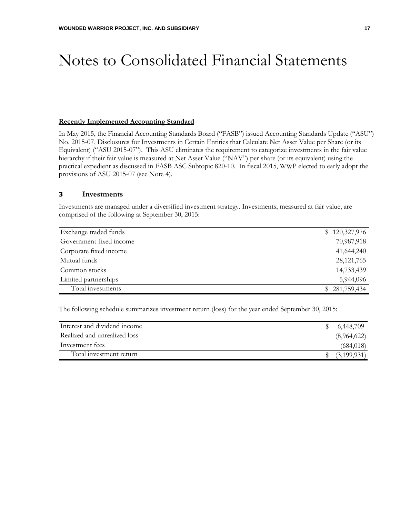#### **Recently Implemented Accounting Standard**

In May 2015, the Financial Accounting Standards Board ("FASB") issued Accounting Standards Update ("ASU") No. 2015-07, Disclosures for Investments in Certain Entities that Calculate Net Asset Value per Share (or its Equivalent) ("ASU 2015-07"). This ASU eliminates the requirement to categorize investments in the fair value hierarchy if their fair value is measured at Net Asset Value ("NAV") per share (or its equivalent) using the practical expedient as discussed in FASB ASC Subtopic 820-10. In fiscal 2015, WWP elected to early adopt the provisions of ASU 2015-07 (see Note 4).

#### 3 **Investments**

Investments are managed under a diversified investment strategy. Investments, measured at fair value, are comprised of the following at September 30, 2015:

| Exchange traded funds   | \$120,327,976 |
|-------------------------|---------------|
| Government fixed income | 70,987,918    |
| Corporate fixed income  | 41,644,240    |
| Mutual funds            | 28, 121, 765  |
| Common stocks           | 14,733,439    |
| Limited partnerships    | 5,944,096     |
| Total investments       | \$281,759,434 |

The following schedule summarizes investment return (loss) for the year ended September 30, 2015:

| Interest and dividend income | 6,448,709   |
|------------------------------|-------------|
| Realized and unrealized loss | (8,964,622) |
| Investment fees              | (684, 018)  |
| Total investment return      | (3,199,931) |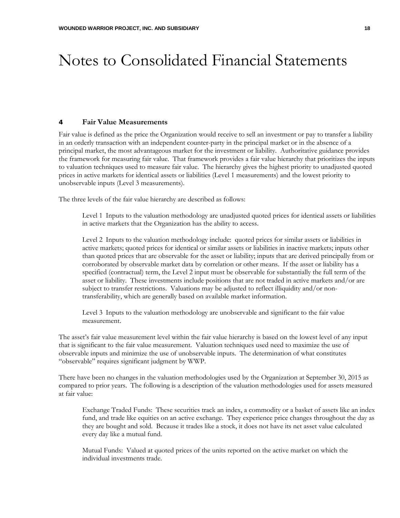#### 4 **Fair Value Measurements**

Fair value is defined as the price the Organization would receive to sell an investment or pay to transfer a liability in an orderly transaction with an independent counter-party in the principal market or in the absence of a principal market, the most advantageous market for the investment or liability. Authoritative guidance provides the framework for measuring fair value. That framework provides a fair value hierarchy that prioritizes the inputs to valuation techniques used to measure fair value. The hierarchy gives the highest priority to unadjusted quoted prices in active markets for identical assets or liabilities (Level 1 measurements) and the lowest priority to unobservable inputs (Level 3 measurements).

The three levels of the fair value hierarchy are described as follows:

Level 1 Inputs to the valuation methodology are unadjusted quoted prices for identical assets or liabilities in active markets that the Organization has the ability to access.

Level 2 Inputs to the valuation methodology include: quoted prices for similar assets or liabilities in active markets; quoted prices for identical or similar assets or liabilities in inactive markets; inputs other than quoted prices that are observable for the asset or liability; inputs that are derived principally from or corroborated by observable market data by correlation or other means. If the asset or liability has a specified (contractual) term, the Level 2 input must be observable for substantially the full term of the asset or liability. These investments include positions that are not traded in active markets and/or are subject to transfer restrictions. Valuations may be adjusted to reflect illiquidity and/or nontransferability, which are generally based on available market information.

Level 3 Inputs to the valuation methodology are unobservable and significant to the fair value measurement.

The asset's fair value measurement level within the fair value hierarchy is based on the lowest level of any input that is significant to the fair value measurement. Valuation techniques used need to maximize the use of observable inputs and minimize the use of unobservable inputs. The determination of what constitutes "observable" requires significant judgment by WWP.

There have been no changes in the valuation methodologies used by the Organization at September 30, 2015 as compared to prior years. The following is a description of the valuation methodologies used for assets measured at fair value:

Exchange Traded Funds: These securities track an index, a commodity or a basket of assets like an index fund, and trade like equities on an active exchange. They experience price changes throughout the day as they are bought and sold. Because it trades like a stock, it does not have its net asset value calculated every day like a mutual fund.

Mutual Funds: Valued at quoted prices of the units reported on the active market on which the individual investments trade.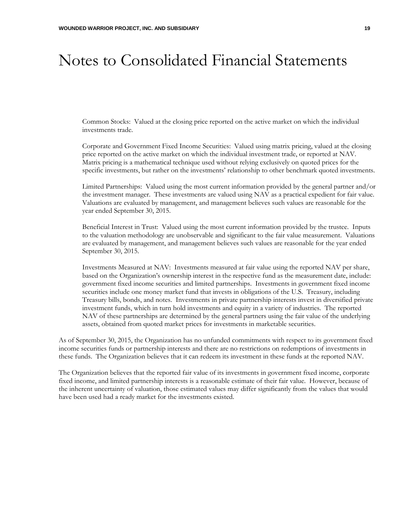Common Stocks: Valued at the closing price reported on the active market on which the individual investments trade.

Corporate and Government Fixed Income Securities: Valued using matrix pricing, valued at the closing price reported on the active market on which the individual investment trade, or reported at NAV. Matrix pricing is a mathematical technique used without relying exclusively on quoted prices for the specific investments, but rather on the investments' relationship to other benchmark quoted investments.

Limited Partnerships: Valued using the most current information provided by the general partner and/or the investment manager. These investments are valued using NAV as a practical expedient for fair value. Valuations are evaluated by management, and management believes such values are reasonable for the year ended September 30, 2015.

Beneficial Interest in Trust: Valued using the most current information provided by the trustee. Inputs to the valuation methodology are unobservable and significant to the fair value measurement. Valuations are evaluated by management, and management believes such values are reasonable for the year ended September 30, 2015.

Investments Measured at NAV: Investments measured at fair value using the reported NAV per share, based on the Organization's ownership interest in the respective fund as the measurement date, include: government fixed income securities and limited partnerships. Investments in government fixed income securities include one money market fund that invests in obligations of the U.S. Treasury, including Treasury bills, bonds, and notes. Investments in private partnership interests invest in diversified private investment funds, which in turn hold investments and equity in a variety of industries. The reported NAV of these partnerships are determined by the general partners using the fair value of the underlying assets, obtained from quoted market prices for investments in marketable securities.

As of September 30, 2015, the Organization has no unfunded commitments with respect to its government fixed income securities funds or partnership interests and there are no restrictions on redemptions of investments in these funds. The Organization believes that it can redeem its investment in these funds at the reported NAV.

The Organization believes that the reported fair value of its investments in government fixed income, corporate fixed income, and limited partnership interests is a reasonable estimate of their fair value. However, because of the inherent uncertainty of valuation, those estimated values may differ significantly from the values that would have been used had a ready market for the investments existed.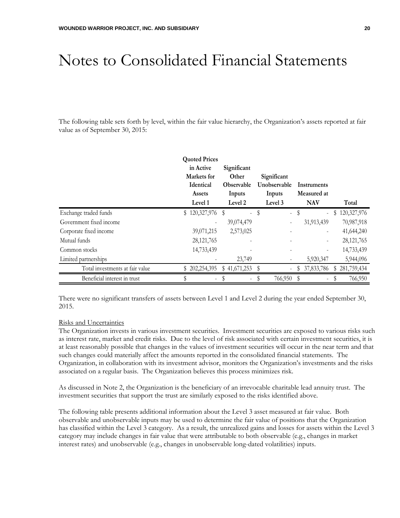The following table sets forth by level, within the fair value hierarchy, the Organization's assets reported at fair value as of September 30, 2015:

|                                 | <b>Quoted Prices</b> |                          |                               |                                  |                   |
|---------------------------------|----------------------|--------------------------|-------------------------------|----------------------------------|-------------------|
|                                 | in Active            | Significant              |                               |                                  |                   |
|                                 | Markets for          | Other                    | Significant                   |                                  |                   |
|                                 | <b>Identical</b>     | <b>Observable</b>        | Unobservable                  | Instruments                      |                   |
|                                 | Assets               | Inputs                   | Inputs                        | Measured at                      |                   |
|                                 | Level 1              | Level 2                  | Level 3                       | <b>NAV</b>                       | Total             |
| Exchange traded funds           | $$120,327,976$ \\$   | $\overline{\phantom{0}}$ | S<br>$\overline{\phantom{0}}$ | -S<br>$\overline{a}$             | 120,327,976<br>S  |
| Government fixed income         |                      | 39,074,479               |                               | 31,913,439                       | 70,987,918        |
| Corporate fixed income          | 39,071,215           | 2,573,025                |                               |                                  | 41,644,240        |
| Mutual funds                    | 28, 121, 765         |                          |                               | $\overline{\phantom{a}}$         | 28, 121, 765      |
| Common stocks                   | 14,733,439           |                          |                               |                                  | 14,733,439        |
| Limited partnerships            |                      | 23,749                   |                               | 5,920,347                        | 5,944,096         |
| Total investments at fair value | 202, 254, 395<br>S   | 41,671,253<br>S          |                               | 37,833,786<br>S                  | 281,759,434<br>\$ |
| Beneficial interest in trust    | S                    | $\overline{\phantom{a}}$ | 766,950<br>S                  | - \$<br>$\overline{\phantom{a}}$ | 766,950<br>S      |

There were no significant transfers of assets between Level 1 and Level 2 during the year ended September 30, 2015.

#### Risks and Uncertainties

The Organization invests in various investment securities. Investment securities are exposed to various risks such as interest rate, market and credit risks. Due to the level of risk associated with certain investment securities, it is at least reasonably possible that changes in the values of investment securities will occur in the near term and that such changes could materially affect the amounts reported in the consolidated financial statements. The Organization, in collaboration with its investment advisor, monitors the Organization's investments and the risks associated on a regular basis. The Organization believes this process minimizes risk.

As discussed in Note 2, the Organization is the beneficiary of an irrevocable charitable lead annuity trust. The investment securities that support the trust are similarly exposed to the risks identified above.

The following table presents additional information about the Level 3 asset measured at fair value. Both observable and unobservable inputs may be used to determine the fair value of positions that the Organization has classified within the Level 3 category. As a result, the unrealized gains and losses for assets within the Level 3 category may include changes in fair value that were attributable to both observable (e.g., changes in market interest rates) and unobservable (e.g., changes in unobservable long-dated volatilities) inputs.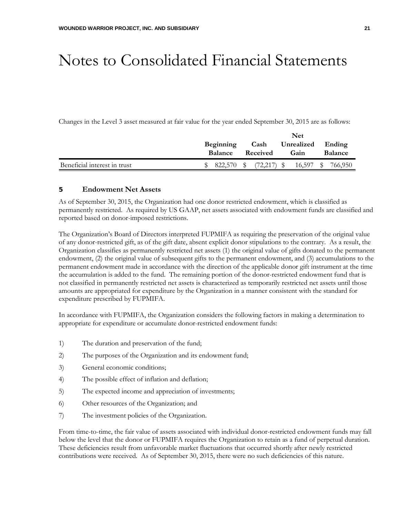Changes in the Level 3 asset measured at fair value for the year ended September 30, 2015 are as follows:

|                              |                                    |         | Net              |               |                           |           |                |         |
|------------------------------|------------------------------------|---------|------------------|---------------|---------------------------|-----------|----------------|---------|
|                              | <b>Beginning</b><br><b>Balance</b> |         | Cash<br>Received |               | Unrealized Ending<br>Gain |           | <b>Balance</b> |         |
| Beneficial interest in trust |                                    | 822.570 |                  | $(72,217)$ \$ |                           | 16,597 \$ |                | 766,950 |

#### 5 **Endowment Net Assets**

As of September 30, 2015, the Organization had one donor restricted endowment, which is classified as permanently restricted. As required by US GAAP, net assets associated with endowment funds are classified and reported based on donor-imposed restrictions.

The Organization's Board of Directors interpreted FUPMIFA as requiring the preservation of the original value of any donor-restricted gift, as of the gift date, absent explicit donor stipulations to the contrary. As a result, the Organization classifies as permanently restricted net assets (1) the original value of gifts donated to the permanent endowment, (2) the original value of subsequent gifts to the permanent endowment, and (3) accumulations to the permanent endowment made in accordance with the direction of the applicable donor gift instrument at the time the accumulation is added to the fund. The remaining portion of the donor-restricted endowment fund that is not classified in permanently restricted net assets is characterized as temporarily restricted net assets until those amounts are appropriated for expenditure by the Organization in a manner consistent with the standard for expenditure prescribed by FUPMIFA.

In accordance with FUPMIFA, the Organization considers the following factors in making a determination to appropriate for expenditure or accumulate donor-restricted endowment funds:

- 1) The duration and preservation of the fund;
- 2) The purposes of the Organization and its endowment fund;
- 3) General economic conditions;
- 4) The possible effect of inflation and deflation;
- 5) The expected income and appreciation of investments;
- 6) Other resources of the Organization; and
- 7) The investment policies of the Organization.

From time-to-time, the fair value of assets associated with individual donor-restricted endowment funds may fall below the level that the donor or FUPMIFA requires the Organization to retain as a fund of perpetual duration. These deficiencies result from unfavorable market fluctuations that occurred shortly after newly restricted contributions were received. As of September 30, 2015, there were no such deficiencies of this nature.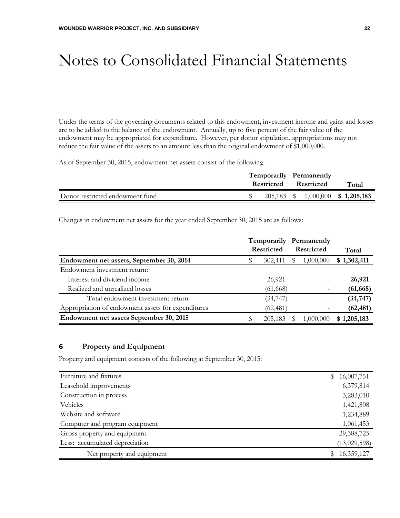Under the terms of the governing documents related to this endowment, investment income and gains and losses are to be added to the balance of the endowment. Annually, up to five percent of the fair value of the endowment may be appropriated for expenditure. However, per donor stipulation, appropriations may not reduce the fair value of the assets to an amount less than the original endowment of \$1,000,000.

As of September 30, 2015, endowment net assets consist of the following:

|                                 | Temporarily Permanently<br>Restricted Restricted |  | Total                             |
|---------------------------------|--------------------------------------------------|--|-----------------------------------|
| Donor restricted endowment fund |                                                  |  | 205,183 \$ 1,000,000 \$ 1,205,183 |

Changes in endowment net assets for the year ended September 30, 2015 are as follows:

|                                                    |                                        |  | <b>Temporarily Permanently</b> |             |
|----------------------------------------------------|----------------------------------------|--|--------------------------------|-------------|
|                                                    | <b>Restricted</b><br><b>Restricted</b> |  |                                | Total       |
| Endowment net assets, September 30, 2014           | 302,411                                |  | 1,000,000                      | \$1,302,411 |
| Endowment investment return:                       |                                        |  |                                |             |
| Interest and dividend income                       | 26,921                                 |  |                                | 26,921      |
| Realized and unrealized losses                     | (61, 668)                              |  |                                | (61, 668)   |
| Total endowment investment return                  | (34, 747)                              |  |                                | (34, 747)   |
| Appropriation of endowment assets for expenditures | (62, 481)                              |  |                                | (62, 481)   |
| Endowment net assets September 30, 2015            | 205,183                                |  | 1,000,000                      | \$1,205,183 |

#### 6 **Property and Equipment**

Property and equipment consists of the following at September 30, 2015:

| Furniture and fixtures         | \$. | 16,007,751   |
|--------------------------------|-----|--------------|
| Leasehold improvements         |     | 6,379,814    |
| Construction in process        |     | 3,283,010    |
| Vehicles                       |     | 1,421,808    |
| Website and software           |     | 1,234,889    |
| Computer and program equipment |     | 1,061,453    |
| Gross property and equipment   |     | 29,388,725   |
| Less: accumulated depreciation |     | (13,029,598) |
| Net property and equipment     |     | 16,359,127   |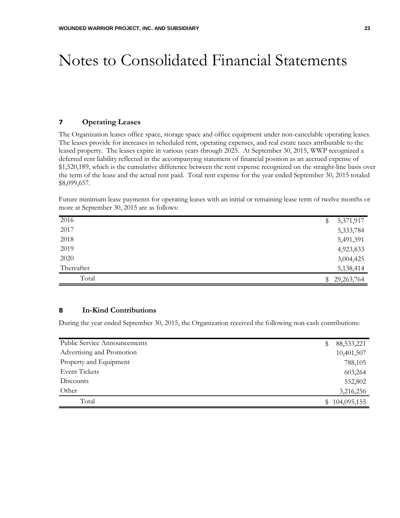#### 7 **Operating Leases**

The Organization leases office space, storage space and office equipment under non-cancelable operating leases. The leases provide for increases in scheduled rent, operating expenses, and real estate taxes attributable to the leased property. The leases expire in various years through 2025. At September 30, 2015, WWP recognized a deferred rent liability reflected in the accompanying statement of financial position as an accrued expense of \$1,520,189, which is the cumulative difference between the rent expense recognized on the straight-line basis over the term of the lease and the actual rent paid. Total rent expense for the year ended September 30, 2015 totaled \$8,099,657.

|  | Future minimum lease payments for operating leases with an initial or remaining lease term of twelve months or |  |  |  |  |
|--|----------------------------------------------------------------------------------------------------------------|--|--|--|--|
|  | more at September 30, 2015 are as follows:                                                                     |  |  |  |  |

| 2016       | \$             | 5,371,917    |
|------------|----------------|--------------|
| 2017       |                | 5,333,784    |
| 2018       |                | 5,491,391    |
| 2019       |                | 4,923,833    |
| 2020       |                | 3,004,425    |
| Thereafter |                | 5,138,414    |
| Total      | $\mathbb{S}^-$ | 29, 263, 764 |

#### 8 **In-Kind Contributions**

During the year ended September 30, 2015, the Organization received the following non-cash contributions:

| <b>Public Service Announcements</b> | \$<br>88,533,221 |
|-------------------------------------|------------------|
| Advertising and Promotion           | 10,401,507       |
| Property and Equipment              | 788,105          |
| <b>Event Tickets</b>                | 603,264          |
| Discounts                           | 552,802          |
| Other                               | 3,216,256        |
| Total                               | 104,095,155      |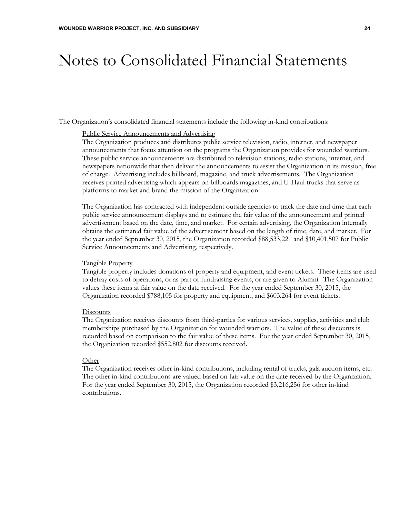The Organization's consolidated financial statements include the following in-kind contributions:

#### Public Service Announcements and Advertising

The Organization produces and distributes public service television, radio, internet, and newspaper announcements that focus attention on the programs the Organization provides for wounded warriors. These public service announcements are distributed to television stations, radio stations, internet, and newspapers nationwide that then deliver the announcements to assist the Organization in its mission, free of charge. Advertising includes billboard, magazine, and truck advertisements. The Organization receives printed advertising which appears on billboards magazines, and U-Haul trucks that serve as platforms to market and brand the mission of the Organization.

The Organization has contracted with independent outside agencies to track the date and time that each public service announcement displays and to estimate the fair value of the announcement and printed advertisement based on the date, time, and market. For certain advertising, the Organization internally obtains the estimated fair value of the advertisement based on the length of time, date, and market. For the year ended September 30, 2015, the Organization recorded \$88,533,221 and \$10,401,507 for Public Service Announcements and Advertising, respectively.

#### Tangible Property

Tangible property includes donations of property and equipment, and event tickets. These items are used to defray costs of operations, or as part of fundraising events, or are given to Alumni. The Organization values these items at fair value on the date received. For the year ended September 30, 2015, the Organization recorded \$788,105 for property and equipment, and \$603,264 for event tickets.

#### **Discounts**

The Organization receives discounts from third-parties for various services, supplies, activities and club memberships purchased by the Organization for wounded warriors. The value of these discounts is recorded based on comparison to the fair value of these items. For the year ended September 30, 2015, the Organization recorded \$552,802 for discounts received.

#### **Other**

The Organization receives other in-kind contributions, including rental of trucks, gala auction items, etc. The other in-kind contributions are valued based on fair value on the date received by the Organization. For the year ended September 30, 2015, the Organization recorded \$3,216,256 for other in-kind contributions.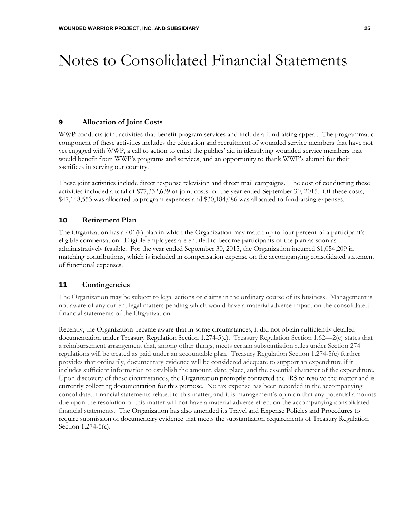#### 9 **Allocation of Joint Costs**

WWP conducts joint activities that benefit program services and include a fundraising appeal. The programmatic component of these activities includes the education and recruitment of wounded service members that have not yet engaged with WWP, a call to action to enlist the publics' aid in identifying wounded service members that would benefit from WWP's programs and services, and an opportunity to thank WWP's alumni for their sacrifices in serving our country.

These joint activities include direct response television and direct mail campaigns. The cost of conducting these activities included a total of \$77,332,639 of joint costs for the year ended September 30, 2015. Of these costs, \$47,148,553 was allocated to program expenses and \$30,184,086 was allocated to fundraising expenses.

#### 10 **Retirement Plan**

The Organization has a 401(k) plan in which the Organization may match up to four percent of a participant's eligible compensation. Eligible employees are entitled to become participants of the plan as soon as administratively feasible. For the year ended September 30, 2015, the Organization incurred \$1,054,209 in matching contributions, which is included in compensation expense on the accompanying consolidated statement of functional expenses.

#### 11 **Contingencies**

The Organization may be subject to legal actions or claims in the ordinary course of its business. Management is not aware of any current legal matters pending which would have a material adverse impact on the consolidated financial statements of the Organization.

Recently, the Organization became aware that in some circumstances, it did not obtain sufficiently detailed documentation under Treasury Regulation Section 1.274-5(c). Treasury Regulation Section 1.62—2(c) states that a reimbursement arrangement that, among other things, meets certain substantiation rules under Section 274 regulations will be treated as paid under an accountable plan. Treasury Regulation Section 1.274-5(c) further provides that ordinarily, documentary evidence will be considered adequate to support an expenditure if it includes sufficient information to establish the amount, date, place, and the essential character of the expenditure. Upon discovery of these circumstances, the Organization promptly contacted the IRS to resolve the matter and is currently collecting documentation for this purpose. No tax expense has been recorded in the accompanying consolidated financial statements related to this matter, and it is management's opinion that any potential amounts due upon the resolution of this matter will not have a material adverse effect on the accompanying consolidated financial statements. The Organization has also amended its Travel and Expense Policies and Procedures to require submission of documentary evidence that meets the substantiation requirements of Treasury Regulation Section 1.274-5(c).